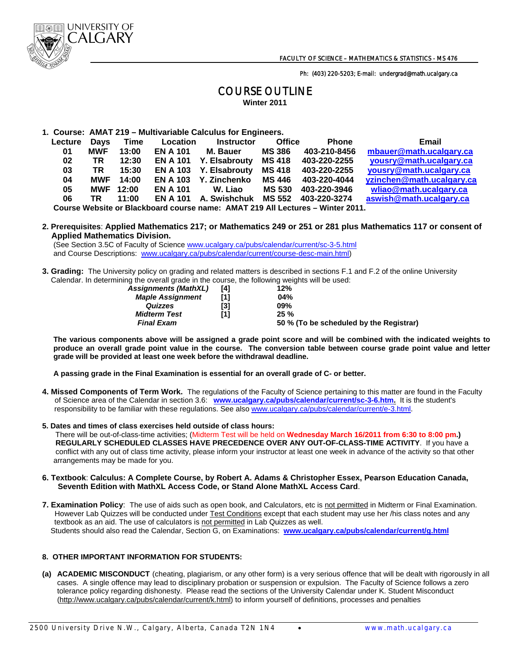

Ph: (403) 220-5203; E-mail: undergrad@math.ucalgary.ca

## COURSE OUTLINE **Winter 2011**

**1. Course: AMAT 219 – Multivariable Calculus for Engineers.**

| Lecture                                                                        | <b>Davs</b> | Time             | Location        | <b>Instructor</b>      | <b>Office</b> | <b>Phone</b> | Email                     |  |  |
|--------------------------------------------------------------------------------|-------------|------------------|-----------------|------------------------|---------------|--------------|---------------------------|--|--|
| 01                                                                             | <b>MWF</b>  | 13:00            | <b>EN A 101</b> | M. Bauer               | <b>MS 386</b> | 403-210-8456 | mbauer@math.ucalgary.ca   |  |  |
| 02                                                                             | TR          | 12:30            | <b>EN A 101</b> | Y. Elsabrouty          | MS 418        | 403-220-2255 | yousry@math.ucalgary.ca   |  |  |
| 03                                                                             | TR          | 15:30            |                 | EN A 103 Y. Elsabrouty | <b>MS 418</b> | 403-220-2255 | yousry@math.ucalgary.ca   |  |  |
| 04                                                                             | MWF         | 14:00            |                 | EN A 103 Y. Zinchenko  | MS 446        | 403-220-4044 | yzinchen@math.ucalgary.ca |  |  |
| 05                                                                             |             | <b>MWF 12:00</b> | <b>EN A 101</b> | W. Liao                | MS 530        | 403-220-3946 | wliao@math.ucalgary.ca    |  |  |
| 06                                                                             | TR          | 11:00            | <b>EN A 101</b> | A. Swishchuk           | MS 552        | 403-220-3274 | aswish@math.ucalgary.ca   |  |  |
| Course Website or Blackboard course name: AMAT 219 All Lectures - Winter 2011. |             |                  |                 |                        |               |              |                           |  |  |

## **2. Prerequisites**: **Applied Mathematics 217; or Mathematics 249 or 251 or 281 plus Mathematics 117 or consent of Applied Mathematics Division.**

(See Section 3.5C of Faculty of Science www.ucalgary.ca/pubs/calendar/current/sc-3-5.html and Course Descriptions: www.ucalgary.ca/pubs/calendar/current/course-desc-main.html)

**3. Grading:** The University policy on grading and related matters is described in sections F.1 and F.2 of the online University Calendar. In determining the overall grade in the course, the following weights will be used:

| <b>Assignments (MathXL)</b> | [4] | 12%                                     |
|-----------------------------|-----|-----------------------------------------|
| <b>Maple Assignment</b>     |     | 04%                                     |
| Quizzes                     | [3] | 09%                                     |
| <b>Midterm Test</b>         | [1] | 25%                                     |
| <b>Final Exam</b>           |     | 50 % (To be scheduled by the Registrar) |

 **The various components above will be assigned a grade point score and will be combined with the indicated weights to produce an overall grade point value in the course. The conversion table between course grade point value and letter grade will be provided at least one week before the withdrawal deadline.** 

 **A passing grade in the Final Examination is essential for an overall grade of C- or better.** 

- **4. Missed Components of Term Work.** The regulations of the Faculty of Science pertaining to this matter are found in the Faculty of Science area of the Calendar in section 3.6: **www.ucalgary.ca/pubs/calendar/current/sc-3-6.htm.** It is the student's responsibility to be familiar with these regulations. See also www.ucalgary.ca/pubs/calendar/current/e-3.html.
- **5. Dates and times of class exercises held outside of class hours:**

 There will be out-of-class-time activities; (Midterm Test will be held on **Wednesday March 16/2011 from 6:30 to 8:00 pm.) REGULARLY SCHEDULED CLASSES HAVE PRECEDENCE OVER ANY OUT-OF-CLASS-TIME ACTIVITY**. If you have a conflict with any out of class time activity, please inform your instructor at least one week in advance of the activity so that other arrangements may be made for you.

- **6. Textbook**: **Calculus: A Complete Course, by Robert A. Adams & Christopher Essex, Pearson Education Canada, Seventh Edition with MathXL Access Code, or Stand Alone MathXL Access Card**.
- **7. Examination Policy**: The use of aids such as open book, and Calculators, etc is not permitted in Midterm or Final Examination. However Lab Quizzes will be conducted under Test Conditions except that each student may use her /his class notes and any textbook as an aid. The use of calculators is not permitted in Lab Quizzes as well. Students should also read the Calendar, Section G, on Examinations: **www.ucalgary.ca/pubs/calendar/current/g.html**

## **8. OTHER IMPORTANT INFORMATION FOR STUDENTS:**

**(a) ACADEMIC MISCONDUCT** (cheating, plagiarism, or any other form) is a very serious offence that will be dealt with rigorously in all cases. A single offence may lead to disciplinary probation or suspension or expulsion. The Faculty of Science follows a zero tolerance policy regarding dishonesty. Please read the sections of the University Calendar under K. Student Misconduct (http://www.ucalgary.ca/pubs/calendar/current/k.html) to inform yourself of definitions, processes and penalties